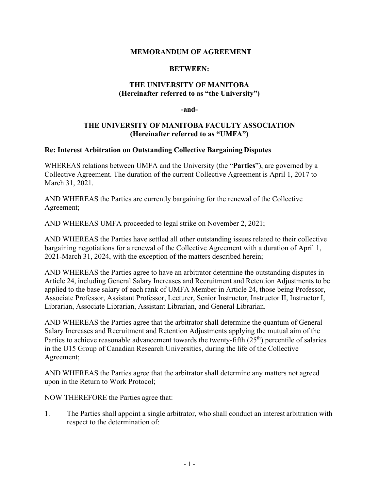## **MEMORANDUM OF AGREEMENT**

## **BETWEEN:**

# **THE UNIVERSITY OF MANITOBA (Hereinafter referred to as "the University")**

**-and-**

# **THE UNIVERSITY OF MANITOBA FACULTY ASSOCIATION (Hereinafter referred to as "UMFA")**

### **Re: Interest Arbitration on Outstanding Collective Bargaining Disputes**

WHEREAS relations between UMFA and the University (the "**Parties**"), are governed by a Collective Agreement. The duration of the current Collective Agreement is April 1, 2017 to March 31, 2021.

AND WHEREAS the Parties are currently bargaining for the renewal of the Collective Agreement;

AND WHEREAS UMFA proceeded to legal strike on November 2, 2021;

AND WHEREAS the Parties have settled all other outstanding issues related to their collective bargaining negotiations for a renewal of the Collective Agreement with a duration of April 1, 2021-March 31, 2024, with the exception of the matters described herein;

AND WHEREAS the Parties agree to have an arbitrator determine the outstanding disputes in Article 24, including General Salary Increases and Recruitment and Retention Adjustments to be applied to the base salary of each rank of UMFA Member in Article 24, those being Professor, Associate Professor, Assistant Professor, Lecturer, Senior Instructor, Instructor II, Instructor I, Librarian, Associate Librarian, Assistant Librarian, and General Librarian.

AND WHEREAS the Parties agree that the arbitrator shall determine the quantum of General Salary Increases and Recruitment and Retention Adjustments applying the mutual aim of the Parties to achieve reasonable advancement towards the twenty-fifth  $(25<sup>th</sup>)$  percentile of salaries in the U15 Group of Canadian Research Universities, during the life of the Collective Agreement;

AND WHEREAS the Parties agree that the arbitrator shall determine any matters not agreed upon in the Return to Work Protocol;

NOW THEREFORE the Parties agree that:

1. The Parties shall appoint a single arbitrator, who shall conduct an interest arbitration with respect to the determination of: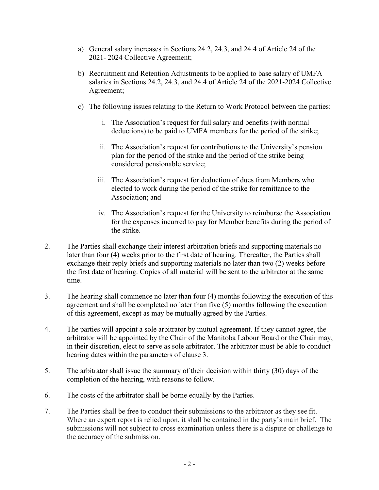- a) General salary increases in Sections 24.2, 24.3, and 24.4 of Article 24 of the 2021- 2024 Collective Agreement;
- b) Recruitment and Retention Adjustments to be applied to base salary of UMFA salaries in Sections 24.2, 24.3, and 24.4 of Article 24 of the 2021-2024 Collective Agreement;
- c) The following issues relating to the Return to Work Protocol between the parties:
	- i. The Association's request for full salary and benefits (with normal deductions) to be paid to UMFA members for the period of the strike;
	- ii. The Association's request for contributions to the University's pension plan for the period of the strike and the period of the strike being considered pensionable service;
	- iii. The Association's request for deduction of dues from Members who elected to work during the period of the strike for remittance to the Association; and
	- iv. The Association's request for the University to reimburse the Association for the expenses incurred to pay for Member benefits during the period of the strike.
- 2. The Parties shall exchange their interest arbitration briefs and supporting materials no later than four (4) weeks prior to the first date of hearing. Thereafter, the Parties shall exchange their reply briefs and supporting materials no later than two (2) weeks before the first date of hearing. Copies of all material will be sent to the arbitrator at the same time.
- 3. The hearing shall commence no later than four (4) months following the execution of this agreement and shall be completed no later than five (5) months following the execution of this agreement, except as may be mutually agreed by the Parties.
- 4. The parties will appoint a sole arbitrator by mutual agreement. If they cannot agree, the arbitrator will be appointed by the Chair of the Manitoba Labour Board or the Chair may, in their discretion, elect to serve as sole arbitrator. The arbitrator must be able to conduct hearing dates within the parameters of clause 3.
- 5. The arbitrator shall issue the summary of their decision within thirty (30) days of the completion of the hearing, with reasons to follow.
- 6. The costs of the arbitrator shall be borne equally by the Parties.
- 7. The Parties shall be free to conduct their submissions to the arbitrator as they see fit. Where an expert report is relied upon, it shall be contained in the party's main brief. The submissions will not subject to cross examination unless there is a dispute or challenge to the accuracy of the submission.